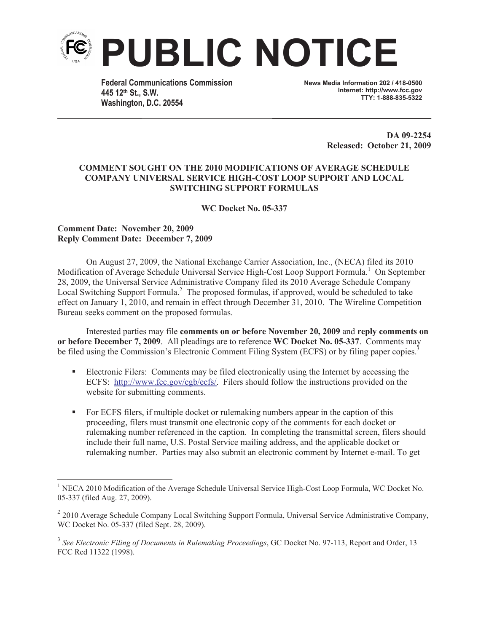

**Federal Communications Commission 445 12th St., S.W. Washington, D.C. 20554**

**News Media Information 202 / 418-0500 Internet: http://www.fcc.gov TTY: 1-888-835-5322**

> **DA 09-2254 Released: October 21, 2009**

## **COMMENT SOUGHT ON THE 2010 MODIFICATIONS OF AVERAGE SCHEDULE COMPANY UNIVERSAL SERVICE HIGH-COST LOOP SUPPORT AND LOCAL SWITCHING SUPPORT FORMULAS**

**WC Docket No. 05-337**

## **Comment Date: November 20, 2009 Reply Comment Date: December 7, 2009**

On August 27, 2009, the National Exchange Carrier Association, Inc., (NECA) filed its 2010 Modification of Average Schedule Universal Service High-Cost Loop Support Formula.<sup>1</sup> On September 28, 2009, the Universal Service Administrative Company filed its 2010 Average Schedule Company Local Switching Support Formula.<sup>2</sup> The proposed formulas, if approved, would be scheduled to take effect on January 1, 2010, and remain in effect through December 31, 2010. The Wireline Competition Bureau seeks comment on the proposed formulas.

Interested parties may file **comments on or before November 20, 2009** and **reply comments on or before December 7, 2009**. All pleadings are to reference **WC Docket No. 05-337**. Comments may be filed using the Commission's Electronic Comment Filing System (ECFS) or by filing paper copies.<sup>3</sup>

- Electronic Filers: Comments may be filed electronically using the Internet by accessing the ECFS: http://www.fcc.gov/cgb/ecfs/. Filers should follow the instructions provided on the website for submitting comments.
- For ECFS filers, if multiple docket or rulemaking numbers appear in the caption of this proceeding, filers must transmit one electronic copy of the comments for each docket or rulemaking number referenced in the caption. In completing the transmittal screen, filers should include their full name, U.S. Postal Service mailing address, and the applicable docket or rulemaking number. Parties may also submit an electronic comment by Internet e-mail. To get

<sup>&</sup>lt;sup>1</sup> NECA 2010 Modification of the Average Schedule Universal Service High-Cost Loop Formula, WC Docket No. 05-337 (filed Aug. 27, 2009).

<sup>&</sup>lt;sup>2</sup> 2010 Average Schedule Company Local Switching Support Formula, Universal Service Administrative Company, WC Docket No. 05-337 (filed Sept. 28, 2009).

<sup>3</sup> *See Electronic Filing of Documents in Rulemaking Proceedings*, GC Docket No. 97-113, Report and Order, 13 FCC Rcd 11322 (1998).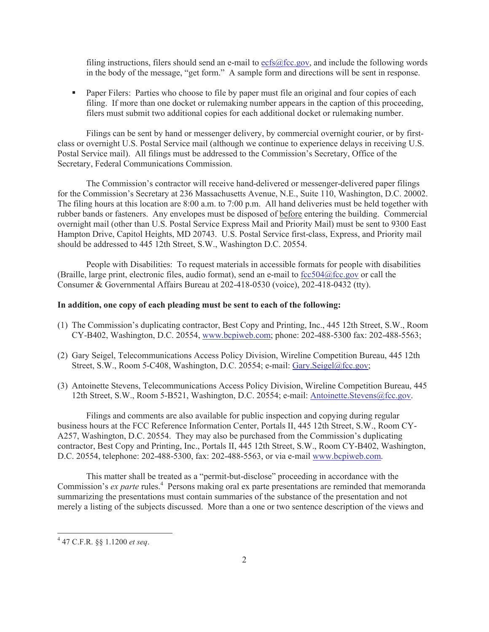filing instructions, filers should send an e-mail to ecfs@fcc.gov, and include the following words in the body of the message, "get form." A sample form and directions will be sent in response.

• Paper Filers: Parties who choose to file by paper must file an original and four copies of each filing. If more than one docket or rulemaking number appears in the caption of this proceeding, filers must submit two additional copies for each additional docket or rulemaking number.

Filings can be sent by hand or messenger delivery, by commercial overnight courier, or by firstclass or overnight U.S. Postal Service mail (although we continue to experience delays in receiving U.S. Postal Service mail). All filings must be addressed to the Commission's Secretary, Office of the Secretary, Federal Communications Commission.

The Commission's contractor will receive hand-delivered or messenger-delivered paper filings for the Commission's Secretary at 236 Massachusetts Avenue, N.E., Suite 110, Washington, D.C. 20002. The filing hours at this location are 8:00 a.m. to 7:00 p.m. All hand deliveries must be held together with rubber bands or fasteners. Any envelopes must be disposed of before entering the building. Commercial overnight mail (other than U.S. Postal Service Express Mail and Priority Mail) must be sent to 9300 East Hampton Drive, Capitol Heights, MD 20743. U.S. Postal Service first-class, Express, and Priority mail should be addressed to 445 12th Street, S.W., Washington D.C. 20554.

People with Disabilities: To request materials in accessible formats for people with disabilities (Braille, large print, electronic files, audio format), send an e-mail to fcc504@fcc.gov or call the Consumer & Governmental Affairs Bureau at 202-418-0530 (voice), 202-418-0432 (tty).

## **In addition, one copy of each pleading must be sent to each of the following:**

- (1) The Commission's duplicating contractor, Best Copy and Printing, Inc., 445 12th Street, S.W., Room CY-B402, Washington, D.C. 20554, www.bcpiweb.com; phone: 202-488-5300 fax: 202-488-5563;
- (2) Gary Seigel, Telecommunications Access Policy Division, Wireline Competition Bureau, 445 12th Street, S.W., Room 5-C408, Washington, D.C. 20554; e-mail: Gary.Seigel@fcc.gov;
- (3) Antoinette Stevens, Telecommunications Access Policy Division, Wireline Competition Bureau, 445 12th Street, S.W., Room 5-B521, Washington, D.C. 20554; e-mail: Antoinette.Stevens@fcc.gov.

Filings and comments are also available for public inspection and copying during regular business hours at the FCC Reference Information Center, Portals II, 445 12th Street, S.W., Room CY-A257, Washington, D.C. 20554. They may also be purchased from the Commission's duplicating contractor, Best Copy and Printing, Inc., Portals II, 445 12th Street, S.W., Room CY-B402, Washington, D.C. 20554, telephone: 202-488-5300, fax: 202-488-5563, or via e-mail www.bcpiweb.com.

This matter shall be treated as a "permit-but-disclose" proceeding in accordance with the Commission's *ex parte* rules.<sup>4</sup> Persons making oral ex parte presentations are reminded that memoranda summarizing the presentations must contain summaries of the substance of the presentation and not merely a listing of the subjects discussed. More than a one or two sentence description of the views and

<sup>4</sup> 47 C.F.R. §§ 1.1200 *et seq*.